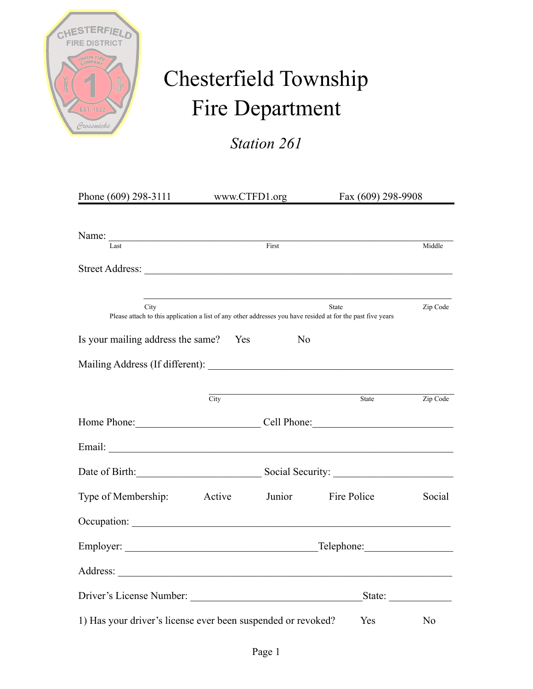

## Chesterfield Township Fire Department

*Station 261*

| Phone (609) 298-3111 www.CTFD1.org                                                                                  |        |                | Fax (609) 298-9908                                        |                |
|---------------------------------------------------------------------------------------------------------------------|--------|----------------|-----------------------------------------------------------|----------------|
| Name:<br>$\overline{\text{Last}}$                                                                                   |        | First          |                                                           | Middle         |
|                                                                                                                     |        |                |                                                           |                |
| City<br>Please attach to this application a list of any other addresses you have resided at for the past five years |        |                | State                                                     | Zip Code       |
| Is your mailing address the same? Yes                                                                               |        | N <sub>o</sub> |                                                           |                |
|                                                                                                                     |        |                |                                                           |                |
|                                                                                                                     | City   |                | State                                                     | Zip Code       |
| Home Phone: Cell Phone: Cell Phone:                                                                                 |        |                |                                                           |                |
|                                                                                                                     |        |                |                                                           |                |
|                                                                                                                     |        |                |                                                           |                |
| Type of Membership:                                                                                                 | Active | Junior         | Fire Police                                               | Social         |
|                                                                                                                     |        |                |                                                           |                |
|                                                                                                                     |        |                |                                                           |                |
|                                                                                                                     |        |                |                                                           |                |
|                                                                                                                     |        |                | State: $\frac{1}{\sqrt{1-\frac{1}{2}} \cdot \frac{1}{2}}$ |                |
| 1) Has your driver's license ever been suspended or revoked?                                                        |        |                | <b>Yes</b>                                                | N <sub>0</sub> |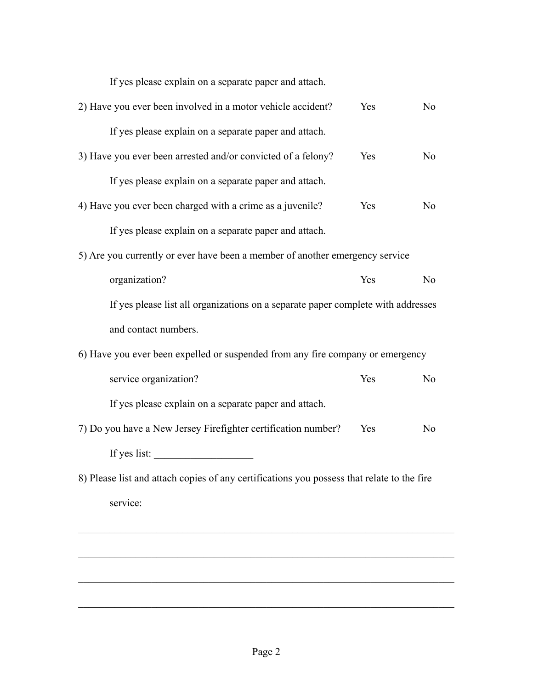If yes please explain on a separate paper and attach.

| 2) Have you ever been involved in a motor vehicle accident?                                | Yes | N <sub>0</sub> |  |  |
|--------------------------------------------------------------------------------------------|-----|----------------|--|--|
| If yes please explain on a separate paper and attach.                                      |     |                |  |  |
| 3) Have you ever been arrested and/or convicted of a felony?                               | Yes | N <sub>o</sub> |  |  |
| If yes please explain on a separate paper and attach.                                      |     |                |  |  |
| 4) Have you ever been charged with a crime as a juvenile?                                  | Yes | N <sub>0</sub> |  |  |
| If yes please explain on a separate paper and attach.                                      |     |                |  |  |
| 5) Are you currently or ever have been a member of another emergency service               |     |                |  |  |
| organization?                                                                              | Yes | N <sub>0</sub> |  |  |
| If yes please list all organizations on a separate paper complete with addresses           |     |                |  |  |
| and contact numbers.                                                                       |     |                |  |  |
| 6) Have you ever been expelled or suspended from any fire company or emergency             |     |                |  |  |
| service organization?                                                                      | Yes | N <sub>0</sub> |  |  |
| If yes please explain on a separate paper and attach.                                      |     |                |  |  |
| 7) Do you have a New Jersey Firefighter certification number?                              | Yes | N <sub>o</sub> |  |  |
|                                                                                            |     |                |  |  |
| 8) Please list and attach copies of any certifications you possess that relate to the fire |     |                |  |  |
| service:                                                                                   |     |                |  |  |

 $\mathcal{L}_\text{max} = \mathcal{L}_\text{max} = \mathcal{L}_\text{max} = \mathcal{L}_\text{max} = \mathcal{L}_\text{max} = \mathcal{L}_\text{max} = \mathcal{L}_\text{max} = \mathcal{L}_\text{max} = \mathcal{L}_\text{max} = \mathcal{L}_\text{max} = \mathcal{L}_\text{max} = \mathcal{L}_\text{max} = \mathcal{L}_\text{max} = \mathcal{L}_\text{max} = \mathcal{L}_\text{max} = \mathcal{L}_\text{max} = \mathcal{L}_\text{max} = \mathcal{L}_\text{max} = \mathcal{$ 

 $\mathcal{L}_\text{max} = \mathcal{L}_\text{max} = \mathcal{L}_\text{max} = \mathcal{L}_\text{max} = \mathcal{L}_\text{max} = \mathcal{L}_\text{max} = \mathcal{L}_\text{max} = \mathcal{L}_\text{max} = \mathcal{L}_\text{max} = \mathcal{L}_\text{max} = \mathcal{L}_\text{max} = \mathcal{L}_\text{max} = \mathcal{L}_\text{max} = \mathcal{L}_\text{max} = \mathcal{L}_\text{max} = \mathcal{L}_\text{max} = \mathcal{L}_\text{max} = \mathcal{L}_\text{max} = \mathcal{$ 

 $\mathcal{L}_\text{max} = \mathcal{L}_\text{max} = \mathcal{L}_\text{max} = \mathcal{L}_\text{max} = \mathcal{L}_\text{max} = \mathcal{L}_\text{max} = \mathcal{L}_\text{max} = \mathcal{L}_\text{max} = \mathcal{L}_\text{max} = \mathcal{L}_\text{max} = \mathcal{L}_\text{max} = \mathcal{L}_\text{max} = \mathcal{L}_\text{max} = \mathcal{L}_\text{max} = \mathcal{L}_\text{max} = \mathcal{L}_\text{max} = \mathcal{L}_\text{max} = \mathcal{L}_\text{max} = \mathcal{$ 

 $\overline{\phantom{a}}$  , and the contribution of the contribution of the contribution of the contribution of the contribution of the contribution of the contribution of the contribution of the contribution of the contribution of the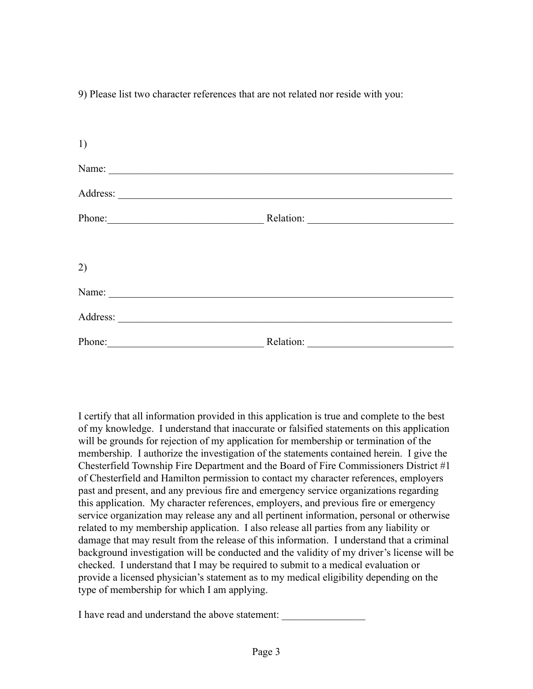9) Please list two character references that are not related nor reside with you:

| 1)                                                  |           |  |
|-----------------------------------------------------|-----------|--|
| Name:                                               |           |  |
|                                                     |           |  |
| Phone: 2008                                         |           |  |
|                                                     |           |  |
| 2)                                                  |           |  |
| Name:<br><u> 1989 - Andrea Albert III, martin a</u> |           |  |
|                                                     |           |  |
| Phone:                                              | Relation: |  |

I certify that all information provided in this application is true and complete to the best of my knowledge. I understand that inaccurate or falsified statements on this application will be grounds for rejection of my application for membership or termination of the membership. I authorize the investigation of the statements contained herein. I give the Chesterfield Township Fire Department and the Board of Fire Commissioners District #1 of Chesterfield and Hamilton permission to contact my character references, employers past and present, and any previous fire and emergency service organizations regarding this application. My character references, employers, and previous fire or emergency service organization may release any and all pertinent information, personal or otherwise related to my membership application. I also release all parties from any liability or damage that may result from the release of this information. I understand that a criminal background investigation will be conducted and the validity of my driver's license will be checked. I understand that I may be required to submit to a medical evaluation or provide a licensed physician's statement as to my medical eligibility depending on the type of membership for which I am applying.

I have read and understand the above statement: